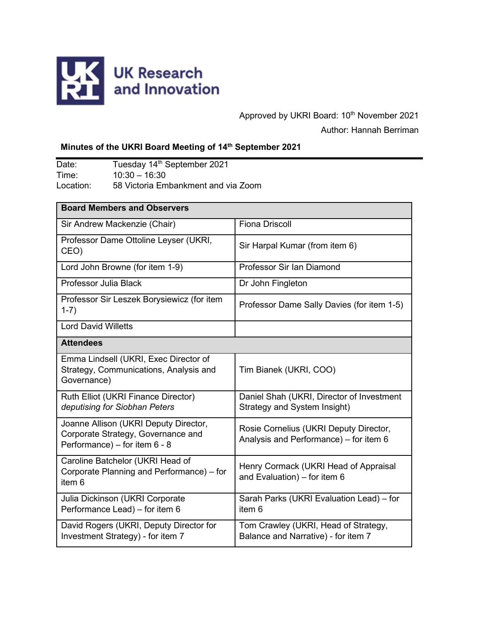

# Approved by UKRI Board: 10<sup>th</sup> November 2021 Author: Hannah Berriman

## **Minutes of the UKRI Board Meeting of 14th September 2021**

Date: Tuesday 14<sup>th</sup> September 2021 Time: 10:30 – 16:30 Location: 58 Victoria Embankment and via Zoom

| <b>Board Members and Observers</b>                                                                           |                                                                                  |
|--------------------------------------------------------------------------------------------------------------|----------------------------------------------------------------------------------|
| Sir Andrew Mackenzie (Chair)                                                                                 | <b>Fiona Driscoll</b>                                                            |
| Professor Dame Ottoline Leyser (UKRI,<br>CEO)                                                                | Sir Harpal Kumar (from item 6)                                                   |
| Lord John Browne (for item 1-9)                                                                              | Professor Sir Ian Diamond                                                        |
| Professor Julia Black                                                                                        | Dr John Fingleton                                                                |
| Professor Sir Leszek Borysiewicz (for item<br>$1-7)$                                                         | Professor Dame Sally Davies (for item 1-5)                                       |
| <b>Lord David Willetts</b>                                                                                   |                                                                                  |
| <b>Attendees</b>                                                                                             |                                                                                  |
| Emma Lindsell (UKRI, Exec Director of<br>Strategy, Communications, Analysis and<br>Governance)               | Tim Bianek (UKRI, COO)                                                           |
| Ruth Elliot (UKRI Finance Director)<br>deputising for Siobhan Peters                                         | Daniel Shah (UKRI, Director of Investment<br><b>Strategy and System Insight)</b> |
| Joanne Allison (UKRI Deputy Director,<br>Corporate Strategy, Governance and<br>Performance) - for item 6 - 8 | Rosie Cornelius (UKRI Deputy Director,<br>Analysis and Performance) - for item 6 |
| Caroline Batchelor (UKRI Head of<br>Corporate Planning and Performance) – for<br>item <sub>6</sub>           | Henry Cormack (UKRI Head of Appraisal<br>and Evaluation) - for item 6            |
| Julia Dickinson (UKRI Corporate<br>Performance Lead) - for item 6                                            | Sarah Parks (UKRI Evaluation Lead) - for<br>item <sub>6</sub>                    |
| David Rogers (UKRI, Deputy Director for<br>Investment Strategy) - for item 7                                 | Tom Crawley (UKRI, Head of Strategy,<br>Balance and Narrative) - for item 7      |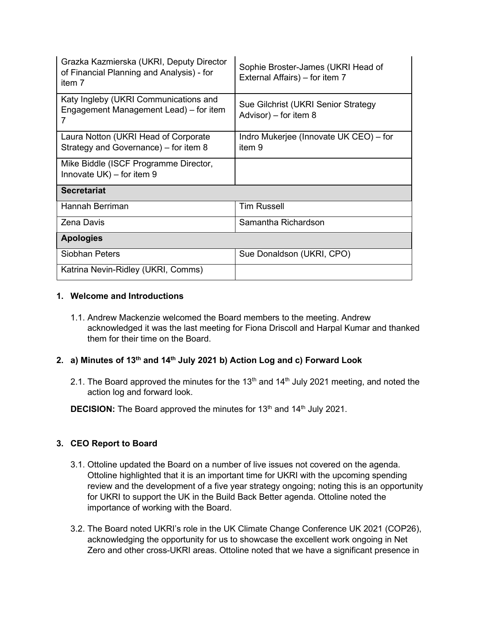| Grazka Kazmierska (UKRI, Deputy Director<br>of Financial Planning and Analysis) - for<br>item 7 | Sophie Broster-James (UKRI Head of<br>External Affairs) – for item 7 |  |
|-------------------------------------------------------------------------------------------------|----------------------------------------------------------------------|--|
| Katy Ingleby (UKRI Communications and<br>Engagement Management Lead) – for item                 | Sue Gilchrist (UKRI Senior Strategy<br>Advisor) – for item $8$       |  |
| Laura Notton (UKRI Head of Corporate<br>Strategy and Governance) – for item 8                   | Indro Mukerjee (Innovate UK CEO) – for<br>item 9                     |  |
| Mike Biddle (ISCF Programme Director,<br>Innovate $UK$ ) – for item 9                           |                                                                      |  |
| <b>Secretariat</b>                                                                              |                                                                      |  |
| Hannah Berriman                                                                                 | <b>Tim Russell</b>                                                   |  |
| <b>Zena Davis</b>                                                                               | Samantha Richardson                                                  |  |
| <b>Apologies</b>                                                                                |                                                                      |  |
| Siobhan Peters                                                                                  | Sue Donaldson (UKRI, CPO)                                            |  |
| Katrina Nevin-Ridley (UKRI, Comms)                                                              |                                                                      |  |

## **1. Welcome and Introductions**

1.1. Andrew Mackenzie welcomed the Board members to the meeting. Andrew acknowledged it was the last meeting for Fiona Driscoll and Harpal Kumar and thanked them for their time on the Board.

## **2. a) Minutes of 13th and 14th July 2021 b) Action Log and c) Forward Look**

2.1. The Board approved the minutes for the  $13<sup>th</sup>$  and  $14<sup>th</sup>$  July 2021 meeting, and noted the action log and forward look.

**DECISION:** The Board approved the minutes for 13<sup>th</sup> and 14<sup>th</sup> July 2021.

## **3. CEO Report to Board**

- 3.1. Ottoline updated the Board on a number of live issues not covered on the agenda. Ottoline highlighted that it is an important time for UKRI with the upcoming spending review and the development of a five year strategy ongoing; noting this is an opportunity for UKRI to support the UK in the Build Back Better agenda. Ottoline noted the importance of working with the Board.
- 3.2. The Board noted UKRI's role in the UK Climate Change Conference UK 2021 (COP26), acknowledging the opportunity for us to showcase the excellent work ongoing in Net Zero and other cross-UKRI areas. Ottoline noted that we have a significant presence in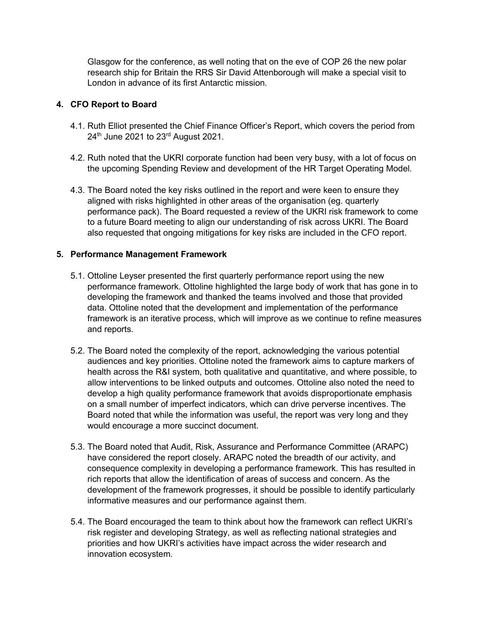Glasgow for the conference, as well noting that on the eve of COP 26 the new polar research ship for Britain the RRS Sir David Attenborough will make a special visit to London in advance of its first Antarctic mission.

## **4. CFO Report to Board**

- 4.1. Ruth Elliot presented the Chief Finance Officer's Report, which covers the period from  $24<sup>th</sup>$  June 2021 to  $23<sup>rd</sup>$  August 2021.
- 4.2. Ruth noted that the UKRI corporate function had been very busy, with a lot of focus on the upcoming Spending Review and development of the HR Target Operating Model.
- 4.3. The Board noted the key risks outlined in the report and were keen to ensure they aligned with risks highlighted in other areas of the organisation (eg. quarterly performance pack). The Board requested a review of the UKRI risk framework to come to a future Board meeting to align our understanding of risk across UKRI. The Board also requested that ongoing mitigations for key risks are included in the CFO report.

## **5. Performance Management Framework**

- 5.1. Ottoline Leyser presented the first quarterly performance report using the new performance framework. Ottoline highlighted the large body of work that has gone in to developing the framework and thanked the teams involved and those that provided data. Ottoline noted that the development and implementation of the performance framework is an iterative process, which will improve as we continue to refine measures and reports.
- 5.2. The Board noted the complexity of the report, acknowledging the various potential audiences and key priorities. Ottoline noted the framework aims to capture markers of health across the R&I system, both qualitative and quantitative, and where possible, to allow interventions to be linked outputs and outcomes. Ottoline also noted the need to develop a high quality performance framework that avoids disproportionate emphasis on a small number of imperfect indicators, which can drive perverse incentives. The Board noted that while the information was useful, the report was very long and they would encourage a more succinct document.
- 5.3. The Board noted that Audit, Risk, Assurance and Performance Committee (ARAPC) have considered the report closely. ARAPC noted the breadth of our activity, and consequence complexity in developing a performance framework. This has resulted in rich reports that allow the identification of areas of success and concern. As the development of the framework progresses, it should be possible to identify particularly informative measures and our performance against them.
- 5.4. The Board encouraged the team to think about how the framework can reflect UKRI's risk register and developing Strategy, as well as reflecting national strategies and priorities and how UKRI's activities have impact across the wider research and innovation ecosystem.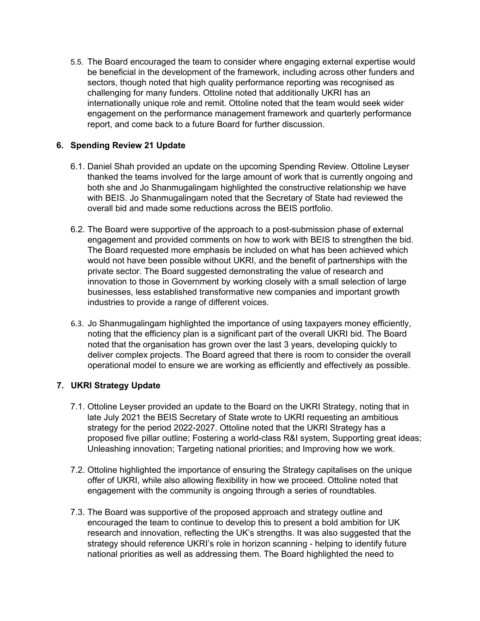5.5. The Board encouraged the team to consider where engaging external expertise would be beneficial in the development of the framework, including across other funders and sectors, though noted that high quality performance reporting was recognised as challenging for many funders. Ottoline noted that additionally UKRI has an internationally unique role and remit. Ottoline noted that the team would seek wider engagement on the performance management framework and quarterly performance report, and come back to a future Board for further discussion.

## **6. Spending Review 21 Update**

- 6.1. Daniel Shah provided an update on the upcoming Spending Review. Ottoline Leyser thanked the teams involved for the large amount of work that is currently ongoing and both she and Jo Shanmugalingam highlighted the constructive relationship we have with BEIS. Jo Shanmugalingam noted that the Secretary of State had reviewed the overall bid and made some reductions across the BEIS portfolio.
- 6.2. The Board were supportive of the approach to a post-submission phase of external engagement and provided comments on how to work with BEIS to strengthen the bid. The Board requested more emphasis be included on what has been achieved which would not have been possible without UKRI, and the benefit of partnerships with the private sector. The Board suggested demonstrating the value of research and innovation to those in Government by working closely with a small selection of large businesses, less established transformative new companies and important growth industries to provide a range of different voices.
- 6.3. Jo Shanmugalingam highlighted the importance of using taxpayers money efficiently, noting that the efficiency plan is a significant part of the overall UKRI bid. The Board noted that the organisation has grown over the last 3 years, developing quickly to deliver complex projects. The Board agreed that there is room to consider the overall operational model to ensure we are working as efficiently and effectively as possible.

#### **7. UKRI Strategy Update**

- 7.1. Ottoline Leyser provided an update to the Board on the UKRI Strategy, noting that in late July 2021 the BEIS Secretary of State wrote to UKRI requesting an ambitious strategy for the period 2022-2027. Ottoline noted that the UKRI Strategy has a proposed five pillar outline; Fostering a world-class R&I system, Supporting great ideas; Unleashing innovation; Targeting national priorities; and Improving how we work.
- 7.2. Ottoline highlighted the importance of ensuring the Strategy capitalises on the unique offer of UKRI, while also allowing flexibility in how we proceed. Ottoline noted that engagement with the community is ongoing through a series of roundtables.
- 7.3. The Board was supportive of the proposed approach and strategy outline and encouraged the team to continue to develop this to present a bold ambition for UK research and innovation, reflecting the UK's strengths. It was also suggested that the strategy should reference UKRI's role in horizon scanning - helping to identify future national priorities as well as addressing them. The Board highlighted the need to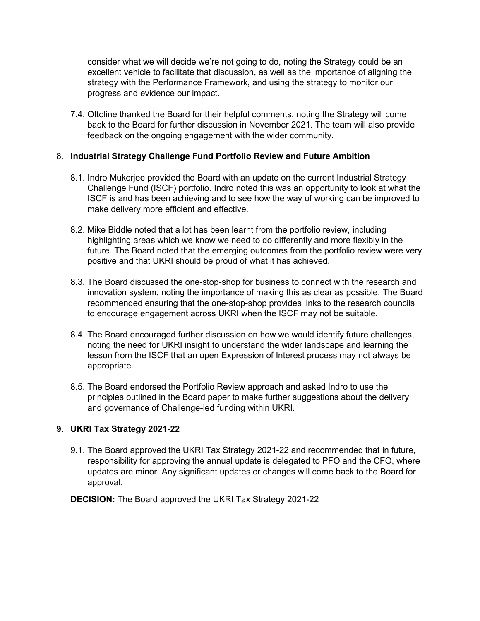consider what we will decide we're not going to do, noting the Strategy could be an excellent vehicle to facilitate that discussion, as well as the importance of aligning the strategy with the Performance Framework, and using the strategy to monitor our progress and evidence our impact.

7.4. Ottoline thanked the Board for their helpful comments, noting the Strategy will come back to the Board for further discussion in November 2021. The team will also provide feedback on the ongoing engagement with the wider community.

#### 8. **Industrial Strategy Challenge Fund Portfolio Review and Future Ambition**

- 8.1. Indro Mukerjee provided the Board with an update on the current Industrial Strategy Challenge Fund (ISCF) portfolio. Indro noted this was an opportunity to look at what the ISCF is and has been achieving and to see how the way of working can be improved to make delivery more efficient and effective.
- 8.2. Mike Biddle noted that a lot has been learnt from the portfolio review, including highlighting areas which we know we need to do differently and more flexibly in the future. The Board noted that the emerging outcomes from the portfolio review were very positive and that UKRI should be proud of what it has achieved.
- 8.3. The Board discussed the one-stop-shop for business to connect with the research and innovation system, noting the importance of making this as clear as possible. The Board recommended ensuring that the one-stop-shop provides links to the research councils to encourage engagement across UKRI when the ISCF may not be suitable.
- 8.4. The Board encouraged further discussion on how we would identify future challenges, noting the need for UKRI insight to understand the wider landscape and learning the lesson from the ISCF that an open Expression of Interest process may not always be appropriate.
- 8.5. The Board endorsed the Portfolio Review approach and asked Indro to use the principles outlined in the Board paper to make further suggestions about the delivery and governance of Challenge-led funding within UKRI.

#### **9. UKRI Tax Strategy 2021-22**

- 9.1. The Board approved the UKRI Tax Strategy 2021-22 and recommended that in future, responsibility for approving the annual update is delegated to PFO and the CFO, where updates are minor. Any significant updates or changes will come back to the Board for approval.
- **DECISION:** The Board approved the UKRI Tax Strategy 2021-22